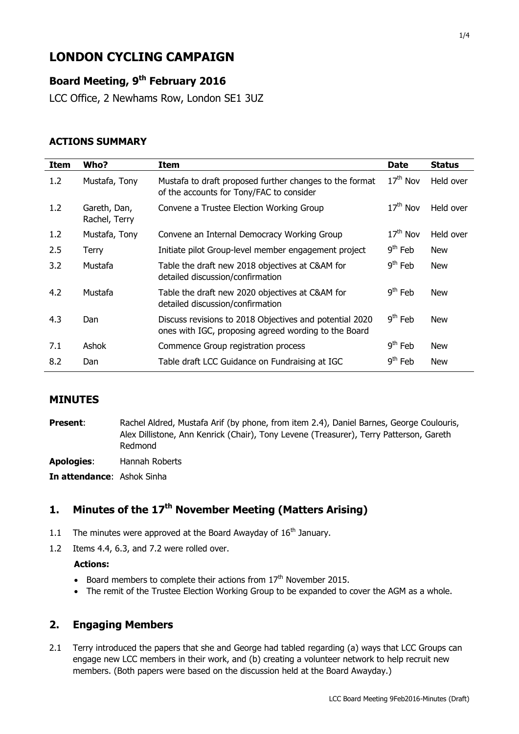# **LONDON CYCLING CAMPAIGN**

## **Board Meeting, 9 th February 2016**

LCC Office, 2 Newhams Row, London SE1 3UZ

#### **ACTIONS SUMMARY**

| <b>Item</b>      | Who?                          | Item                                                                                                            | <b>Date</b> | <b>Status</b> |
|------------------|-------------------------------|-----------------------------------------------------------------------------------------------------------------|-------------|---------------|
| $1.2\phantom{0}$ | Mustafa, Tony                 | Mustafa to draft proposed further changes to the format<br>of the accounts for Tony/FAC to consider             | $17th$ Nov  | Held over     |
| 1.2              | Gareth, Dan,<br>Rachel, Terry | Convene a Trustee Election Working Group                                                                        | $17th$ Nov  | Held over     |
| 1.2              | Mustafa, Tony                 | Convene an Internal Democracy Working Group                                                                     | $17th$ Nov  | Held over     |
| 2.5              | Terry                         | Initiate pilot Group-level member engagement project                                                            | $9th$ Feb   | <b>New</b>    |
| 3.2              | Mustafa                       | Table the draft new 2018 objectives at C&AM for<br>detailed discussion/confirmation                             | $9th$ Feb   | <b>New</b>    |
| 4.2              | Mustafa                       | Table the draft new 2020 objectives at C&AM for<br>detailed discussion/confirmation                             | $9th$ Feb   | <b>New</b>    |
| 4.3              | Dan                           | Discuss revisions to 2018 Objectives and potential 2020<br>ones with IGC, proposing agreed wording to the Board | $9th$ Feb   | <b>New</b>    |
| 7.1              | Ashok                         | Commence Group registration process                                                                             | $9th$ Feb   | <b>New</b>    |
| 8.2              | Dan                           | Table draft LCC Guidance on Fundraising at IGC                                                                  | $9th$ Feb   | <b>New</b>    |

#### **MINUTES**

**Present:** Rachel Aldred, Mustafa Arif (by phone, from item 2.4), Daniel Barnes, George Coulouris, Alex Dillistone, Ann Kenrick (Chair), Tony Levene (Treasurer), Terry Patterson, Gareth Redmond

**Apologies**: Hannah Roberts

**In attendance**: Ashok Sinha

# **1. Minutes of the 17th November Meeting (Matters Arising)**

- 1.1 The minutes were approved at the Board Awayday of  $16<sup>th</sup>$  January.
- 1.2 Items 4.4, 6.3, and 7.2 were rolled over.

#### **Actions:**

- Board members to complete their actions from  $17<sup>th</sup>$  November 2015.
- The remit of the Trustee Election Working Group to be expanded to cover the AGM as a whole.

### **2. Engaging Members**

2.1 Terry introduced the papers that she and George had tabled regarding (a) ways that LCC Groups can engage new LCC members in their work, and (b) creating a volunteer network to help recruit new members. (Both papers were based on the discussion held at the Board Awayday.)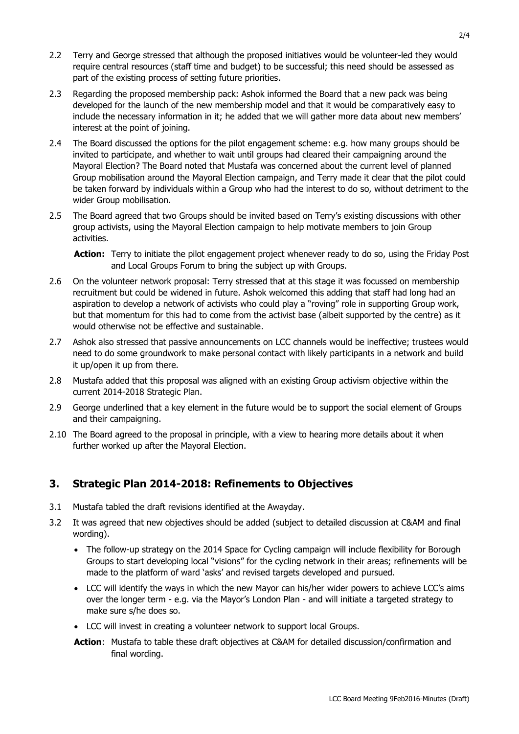- 2.2 Terry and George stressed that although the proposed initiatives would be volunteer-led they would require central resources (staff time and budget) to be successful; this need should be assessed as part of the existing process of setting future priorities.
- 2.3 Regarding the proposed membership pack: Ashok informed the Board that a new pack was being developed for the launch of the new membership model and that it would be comparatively easy to include the necessary information in it; he added that we will gather more data about new members' interest at the point of joining.
- 2.4 The Board discussed the options for the pilot engagement scheme: e.g. how many groups should be invited to participate, and whether to wait until groups had cleared their campaigning around the Mayoral Election? The Board noted that Mustafa was concerned about the current level of planned Group mobilisation around the Mayoral Election campaign, and Terry made it clear that the pilot could be taken forward by individuals within a Group who had the interest to do so, without detriment to the wider Group mobilisation.
- 2.5 The Board agreed that two Groups should be invited based on Terry's existing discussions with other group activists, using the Mayoral Election campaign to help motivate members to join Group activities.

**Action:** Terry to initiate the pilot engagement project whenever ready to do so, using the Friday Post and Local Groups Forum to bring the subject up with Groups.

- 2.6 On the volunteer network proposal: Terry stressed that at this stage it was focussed on membership recruitment but could be widened in future. Ashok welcomed this adding that staff had long had an aspiration to develop a network of activists who could play a "roving" role in supporting Group work, but that momentum for this had to come from the activist base (albeit supported by the centre) as it would otherwise not be effective and sustainable.
- 2.7 Ashok also stressed that passive announcements on LCC channels would be ineffective; trustees would need to do some groundwork to make personal contact with likely participants in a network and build it up/open it up from there.
- 2.8 Mustafa added that this proposal was aligned with an existing Group activism objective within the current 2014-2018 Strategic Plan.
- 2.9 George underlined that a key element in the future would be to support the social element of Groups and their campaigning.
- 2.10 The Board agreed to the proposal in principle, with a view to hearing more details about it when further worked up after the Mayoral Election.

### **3. Strategic Plan 2014-2018: Refinements to Objectives**

- 3.1 Mustafa tabled the draft revisions identified at the Awayday.
- 3.2 It was agreed that new objectives should be added (subject to detailed discussion at C&AM and final wording).
	- The follow-up strategy on the 2014 Space for Cycling campaign will include flexibility for Borough Groups to start developing local "visions" for the cycling network in their areas; refinements will be made to the platform of ward 'asks' and revised targets developed and pursued.
	- LCC will identify the ways in which the new Mayor can his/her wider powers to achieve LCC's aims over the longer term - e.g. via the Mayor's London Plan - and will initiate a targeted strategy to make sure s/he does so.
	- LCC will invest in creating a volunteer network to support local Groups.
	- **Action**: Mustafa to table these draft objectives at C&AM for detailed discussion/confirmation and final wording.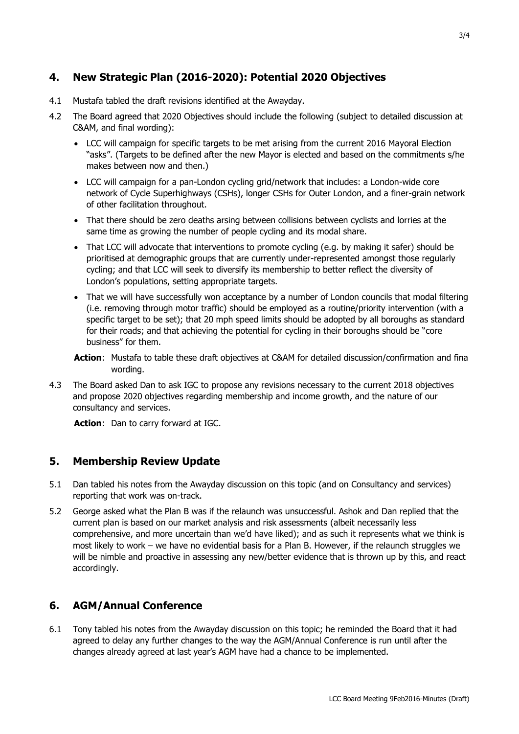# **4. New Strategic Plan (2016-2020): Potential 2020 Objectives**

- 4.1 Mustafa tabled the draft revisions identified at the Awayday.
- 4.2 The Board agreed that 2020 Objectives should include the following (subject to detailed discussion at C&AM, and final wording):
	- LCC will campaign for specific targets to be met arising from the current 2016 Mayoral Election "asks". (Targets to be defined after the new Mayor is elected and based on the commitments s/he makes between now and then.)
	- LCC will campaign for a pan-London cycling grid/network that includes: a London-wide core network of Cycle Superhighways (CSHs), longer CSHs for Outer London, and a finer-grain network of other facilitation throughout.
	- That there should be zero deaths arsing between collisions between cyclists and lorries at the same time as growing the number of people cycling and its modal share.
	- That LCC will advocate that interventions to promote cycling (e.g. by making it safer) should be prioritised at demographic groups that are currently under-represented amongst those regularly cycling; and that LCC will seek to diversify its membership to better reflect the diversity of London's populations, setting appropriate targets.
	- That we will have successfully won acceptance by a number of London councils that modal filtering (i.e. removing through motor traffic) should be employed as a routine/priority intervention (with a specific target to be set); that 20 mph speed limits should be adopted by all boroughs as standard for their roads; and that achieving the potential for cycling in their boroughs should be "core business" for them.
	- **Action**: Mustafa to table these draft objectives at C&AM for detailed discussion/confirmation and fina wording.
- 4.3 The Board asked Dan to ask IGC to propose any revisions necessary to the current 2018 objectives and propose 2020 objectives regarding membership and income growth, and the nature of our consultancy and services.

**Action**: Dan to carry forward at IGC.

#### **5. Membership Review Update**

- 5.1 Dan tabled his notes from the Awayday discussion on this topic (and on Consultancy and services) reporting that work was on-track.
- 5.2 George asked what the Plan B was if the relaunch was unsuccessful. Ashok and Dan replied that the current plan is based on our market analysis and risk assessments (albeit necessarily less comprehensive, and more uncertain than we'd have liked); and as such it represents what we think is most likely to work – we have no evidential basis for a Plan B. However, if the relaunch struggles we will be nimble and proactive in assessing any new/better evidence that is thrown up by this, and react accordingly.

#### **6. AGM/Annual Conference**

6.1 Tony tabled his notes from the Awayday discussion on this topic; he reminded the Board that it had agreed to delay any further changes to the way the AGM/Annual Conference is run until after the changes already agreed at last year's AGM have had a chance to be implemented.